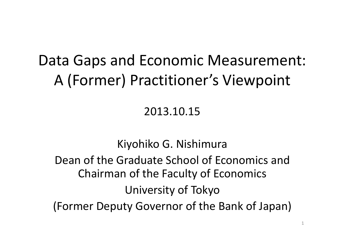### Data Gaps and Economic Measurement: A (Former) Practitioner's Viewpoint

#### 2013.10.15

Kiyohiko G. Nishimura Dean of the Graduate School of Economics and Chairman of the Faculty of Economics University of Tokyo (Former Deputy Governor of the Bank of Japan)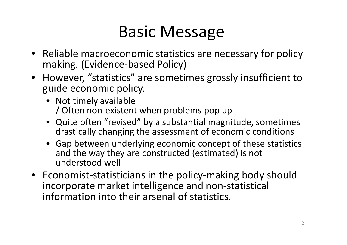## Basic Message

- Reliable macroeconomic statistics are necessary for policy making. (Evidence‐based Policy)
- However, "statistics" are sometimes grossly insufficient to guide economic policy.
	- Not timely available / Often non‐existent when problems pop up
	- Quite often "revised" by <sup>a</sup> substantial magnitude, sometimes drastically changing the assessment of economic conditions
	- Gap between underlying economic concept of these statistics and the way they are constructed (estimated) is not understood well
- Economist‐statisticians in the policy‐making body should incorporate market intelligence and non‐statistical information into their arsenal of statistics.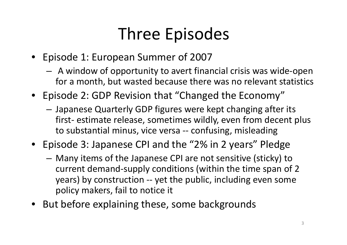# Three Episodes

- Episode 1: European Summer of 2007
	- A window of opportunity to avert financial crisis was wide‐open for a month, but wasted because there was no relevant statistics
- Episode 2: GDP Revision that "Changed the Economy"
	- Japanese Quarterly GDP figures were kept changing after its first‐ estimate release, sometimes wildly, even from decent plus to substantial minus, vice versa ‐‐ confusing, misleading
- Episode 3: Japanese CPI and the "2% in 2 years" Pledge
	- Many items of the Japanese CPI are not sensitive (sticky) to current demand‐supply conditions (within the time span of 2 years) by construction -- yet the public, including even some policy makers, fail to notice it
- But before explaining these, some backgrounds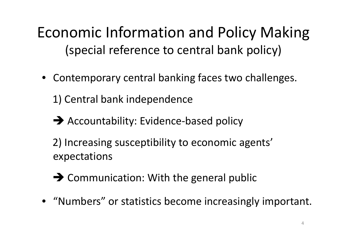Economic Information and Policy Making (special reference to central bank policy)

• Contemporary central banking faces two challenges.

1) Central bank independence

- → Accountability: Evidence-based policy
- 2) Increasing susceptibility to economic agents' expectations
- → Communication: With the general public
- "Numbers" or statistics become increasingly important.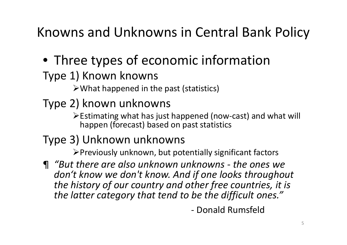Knowns and Unknowns in Central Bank Policy

• Three types of economic information

#### Type 1) Known knowns

What happened in the past (statistics)

### Type 2) known unknowns

Estimating what has just happened (now‐cast) and what will happen (forecast) based on past statistics

### Type 3) Unknown unknowns

 $\triangleright$  Previously unknown, but potentially significant factors

¶ *"But there are also unknown unknowns ‐ the ones we don't know we don't know. And if one looks throughout the history of our country and other free countries, it is the latter category that tend to be the difficult ones."*

‐ Donald Rumsfeld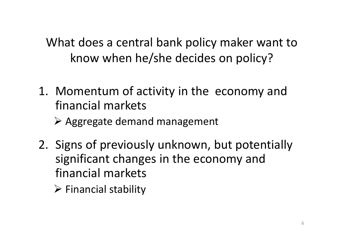What does a central bank policy maker want to know when he/she decides on policy?

- 1. Momentum of activity in the economy and financial markets
	- Aggregate demand management
- 2. Signs of previously unknown, but potentially significant changes in the economy and financial markets
	- $\triangleright$  Financial stability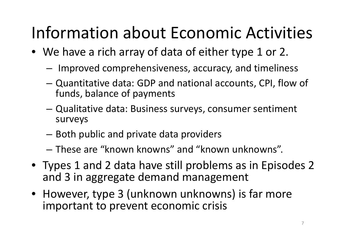# Information about Economic Activities

- We have <sup>a</sup> rich array of data of either type 1 or 2.
	- – $-$  Improved comprehensiveness, accuracy, and timeliness
	- – Quantitative data: GDP and national accounts, CPI, flow of funds, balance of payments
	- – Qualitative data: Business surveys, consumer sentiment surveys
	- – $-$  Both public and private data providers
	- These are "known knowns" and "known unknowns".
- Types 1 and 2 data have still problems as in Episodes 2 and 3 in aggregate demand management
- However, type 3 (unknown unknowns) is far more important to prevent economic crisis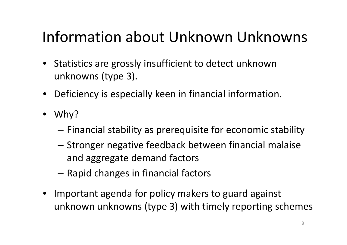### Information about Unknown Unknowns

- Statistics are grossly insufficient to detect unknown unknowns (type 3).
- Deficiency is especially keen in financial information.
- Why?
	- $-$  Financial stability as prerequisite for economic stability
	- Stronger negative feedback between financial malaise and aggregate demand factors
	- – $-$  Rapid changes in financial factors
- Important agenda for policy makers to guard against unknown unknowns (type 3) with timely reporting schemes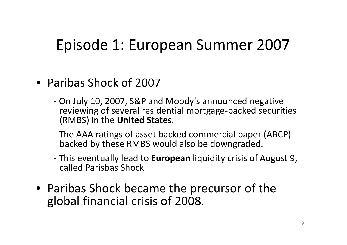### Episode 1: European Summer 2007

- Paribas Shock of 2007
	- ‐ On July 10, 2007, S&P and Moody's announced negative reviewing of several residential mortgage‐backed securities (RMBS) in the **United States**.
	- ‐ The AAA ratings of asset backed commercial paper (ABCP) backed by these RMBS would also be downgraded.
	- ‐ This eventually lead to **European** liquidity crisis of August 9, called Parisbas Shock
- Paribas Shock became the precursor of the global financial crisis of 2008.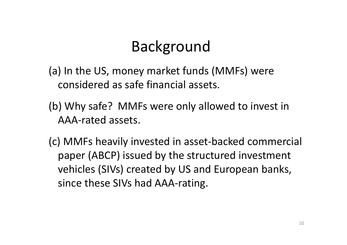### Background

(a) In the US, money market funds (MMFs) were considered as safe financial assets.

- (b) Why safe? MMFs were only allowed to invest in AAA‐rated assets.
- (c) MMFs heavily invested in asset‐backed commercial paper (ABCP) issued by the structured investment vehicles (SIVs) created by US and European banks, since these SIVs had AAA‐rating.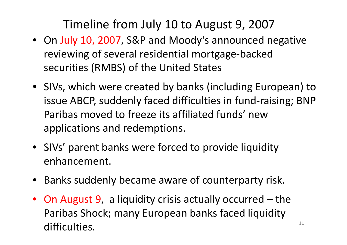### Timeline from July 10 to August 9, 2007

- On July 10, 2007, S&P and Moody's announced negative reviewing of several residential mortgage‐backed securities (RMBS) of the United States
- SIVs, which were created by banks (including European) to issue ABCP, suddenly faced difficulties in fund‐raising; BNP Paribas moved to freeze its affiliated funds' newapplications and redemptions.
- SIVs' parent banks were forced to provide liquidity enhancement.
- Banks suddenly became aware of counterparty risk.
- On August 9, <sup>a</sup> liquidity crisis actually occurred the Paribas Shock; many European banks faced liquidity difficulties. $\blacksquare$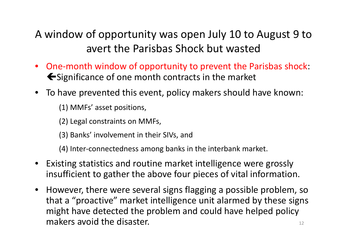#### A window of opportunity was open July 10 to August 9 to avert the Parisbas Shock but wasted

- $\bullet$ ● One-month window of opportunity to prevent the Parisbas shock:  $\blacktriangleright$  Significance of one month contracts in the market
- To have prevented this event, policy makers should have known:

(1) MMFs' asset positions,

- (2) Legal constraints on MMFs,
- (3) Banks' involvement in their SIVs, and

(4) Inter‐connectedness among banks in the interbank market.

- $\bullet$  Existing statistics and routine market intelligence were grossly insufficient to gather the above four pieces of vital information.
- $\bullet$  However, there were several signs flagging <sup>a</sup> possible problem, so that a "proactive" market intelligence unit alarmed by these signs might have detected the problem and could have helped policy makers avoid the disaster.  $12$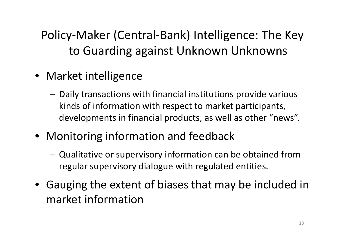Policy‐Maker (Central‐Bank) Intelligence: The Key to Guarding against Unknown Unknowns

- Market intelligence
	- $-$  Daily transactions with financial institutions provide various kinds of information with respect to market participants, developments in financial products, as well as other "news".
- Monitoring information and feedback
	- Qualitative or supervisory information can be obtained from regular supervisory dialogue with regulated entities.
- Gauging the extent of biases that may be included in market information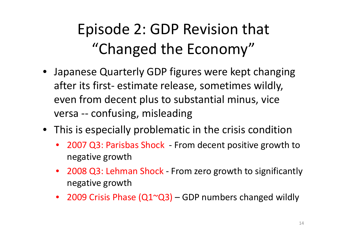### Episode 2: GDP Revision that "Changed the Economy"

- Japanese Quarterly GDP figures were kept changing after its first‐ estimate release, sometimes wildly, even from decent plus to substantial minus, vice versa ‐‐ confusing, misleading
- This is especially problematic in the crisis condition
	- •● 2007 Q3: Parisbas Shock - From decent positive growth to negative growth
	- $\bullet$ ● 2008 Q3: Lehman Shock - From zero growth to significantly negative growth
	- 2009 Crisis Phase (Q1~Q3) GDP numbers changed wildly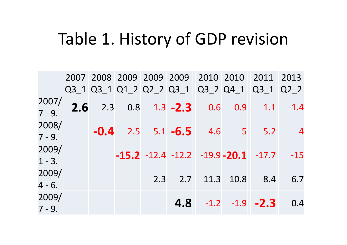### Table 1. History of GDP revision

|                    |  |  |  | 2007 2008 2009 2009 2009 2010 2010 2011 2013          |     |
|--------------------|--|--|--|-------------------------------------------------------|-----|
|                    |  |  |  | Q3 1 Q3 1 Q1 2 Q2 2 Q3 1 Q3 2 Q4 1 Q3 1 Q2 2          |     |
| 2007/<br>$7 - 9.$  |  |  |  | 2.6 2.3 0.8 -1.3 -2.3 -0.6 -0.9 -1.1 -1.4             |     |
| 2008/<br>$7 - 9.$  |  |  |  | $-0.4$ $-2.5$ $-5.1$ $-6.5$ $-4.6$ $-5$ $-5.2$ $-4$   |     |
| 2009/<br>$1 - 3$ . |  |  |  | $-15.2$ $-12.4$ $-12.2$ $-19.9$ $-20.1$ $-17.7$ $-15$ |     |
| 2009/<br>$4 - 6.$  |  |  |  | 2.3 2.7 11.3 10.8 8.4                                 | 6.7 |
| 2009/<br>$7 - 9.$  |  |  |  | $4.8$ $-1.2$ $-1.9$ $-2.3$                            | 0.4 |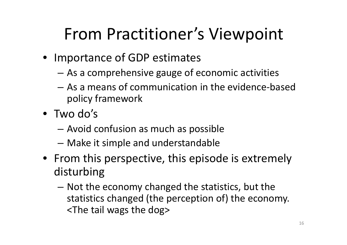## From Practitioner's Viewpoint

- Importance of GDP estimates
	- As <sup>a</sup> comprehensive gauge of economic activities
	- As <sup>a</sup> means of communication in the evidence‐based policy framework
- Two do's
	- Avoid confusion as much as possible
	- –Make it simple and understandable
- From this perspective, this episode is extremely disturbing
	- $-$  Not the economy changed the statistics, but the statistics changed (the perception of) the economy. <The tail wags the dog>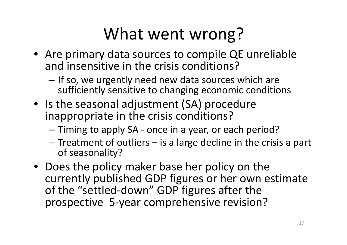# What went wrong?

- Are primary data sources to compile QE unreliable and insensitive in the crisis conditions?
	- If so, we urgently need new data sources which are sufficiently sensitive to changing economic conditions
- Is the seasonal adjustment (SA) procedure inappropriate in the crisis conditions?
	- Timing to apply SA ‐ once in <sup>a</sup> year, or each period?
	- – $-$  Treatment of outliers  $-$  is a large decline in the crisis a part of seasonality?
- Does the policy maker base her policy on the currently published GDP figures or her own estimate of the "settled‐down" GDP figures after the prospective 5‐year comprehensive revision?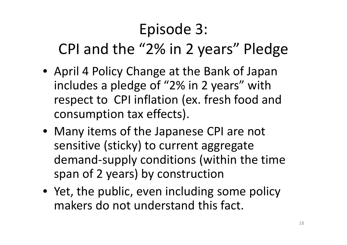## Episode 3: CPI and the "2% in 2 years" Pledge

- April 4 Policy Change at the Bank of Japan includes a pledge of "2% in 2 years" with respect to CPI inflation (ex. fresh food and consumption tax effects).
- Many items of the Japanese CPI are not sensitive (sticky) to current aggregate demand‐supply conditions (within the time span of 2 years) by construction
- Yet, the public, even including some policy makers do not understand this fact.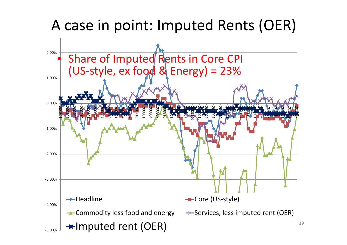### A case in point: Imputed Rents (OER)

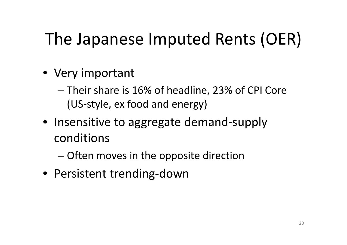## The Japanese Imputed Rents (OER)

- Very important
	- Their share is 16% of headline, 23% of CPI Core (US‐style, ex food and energy)
- Insensitive to aggregate demand‐supply conditions
	- Often moves in the opposite direction
- Persistent trending‐down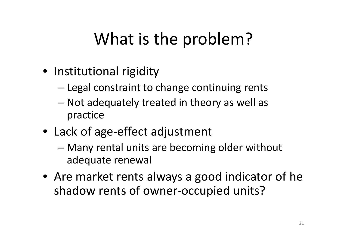## What is the problem?

- Institutional rigidity
	- –Legal constraint to change continuing rents
	- – Not adequately treated in theory as well as practice
- Lack of age‐effect adjustment
	- – Many rental units are becoming older without adequate renewal
- Are market rents always <sup>a</sup> good indicator of he shadow rents of owner‐occupied units?